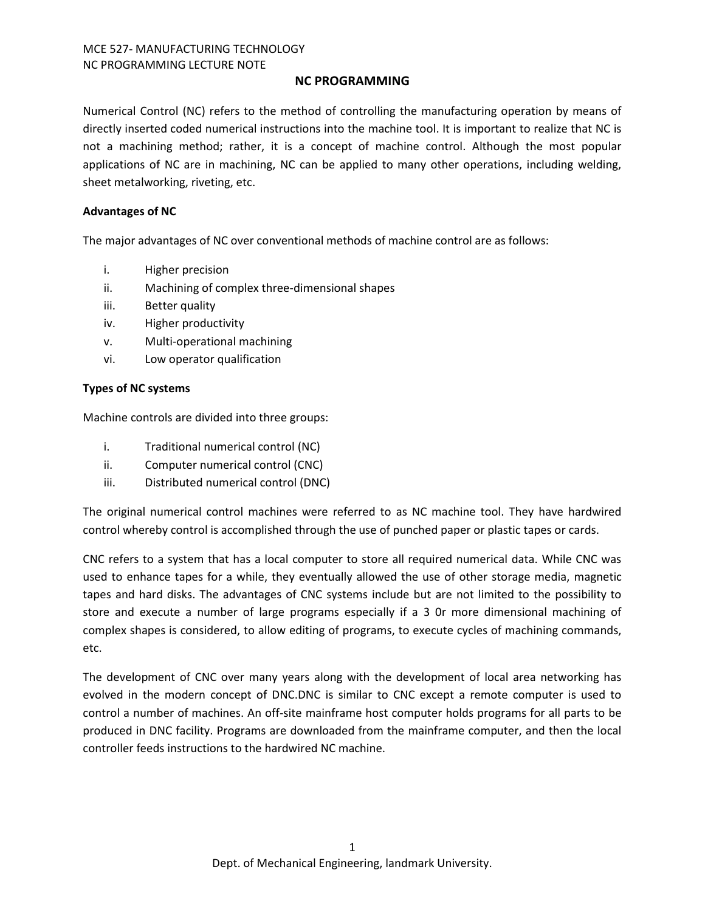# **NC PROGRAMMING**

Numerical Control (NC) refers to the method of controlling the manufacturing operation by means of directly inserted coded numerical instructions into the machine tool. It is important to realize that NC is not a machining method; rather, it is a concept of machine control. Although the most popular applications of NC are in machining, NC can be applied to many other operations, including welding, sheet metalworking, riveting, etc.

## **Advantages of NC**

The major advantages of NC over conventional methods of machine control are as follows:

- i. Higher precision
- ii. Machining of complex three-dimensional shapes
- iii. Better quality
- iv. Higher productivity
- v. Multi-operational machining
- vi. Low operator qualification

## **Types of NC systems**

Machine controls are divided into three groups:

- i. Traditional numerical control (NC)
- ii. Computer numerical control (CNC)
- iii. Distributed numerical control (DNC)

The original numerical control machines were referred to as NC machine tool. They have hardwired control whereby control is accomplished through the use of punched paper or plastic tapes or cards.

CNC refers to a system that has a local computer to store all required numerical data. While CNC was used to enhance tapes for a while, they eventually allowed the use of other storage media, magnetic tapes and hard disks. The advantages of CNC systems include but are not limited to the possibility to store and execute a number of large programs especially if a 3 0r more dimensional machining of complex shapes is considered, to allow editing of programs, to execute cycles of machining commands, etc.

The development of CNC over many years along with the development of local area networking has evolved in the modern concept of DNC.DNC is similar to CNC except a remote computer is used to control a number of machines. An off-site mainframe host computer holds programs for all parts to be produced in DNC facility. Programs are downloaded from the mainframe computer, and then the local controller feeds instructions to the hardwired NC machine.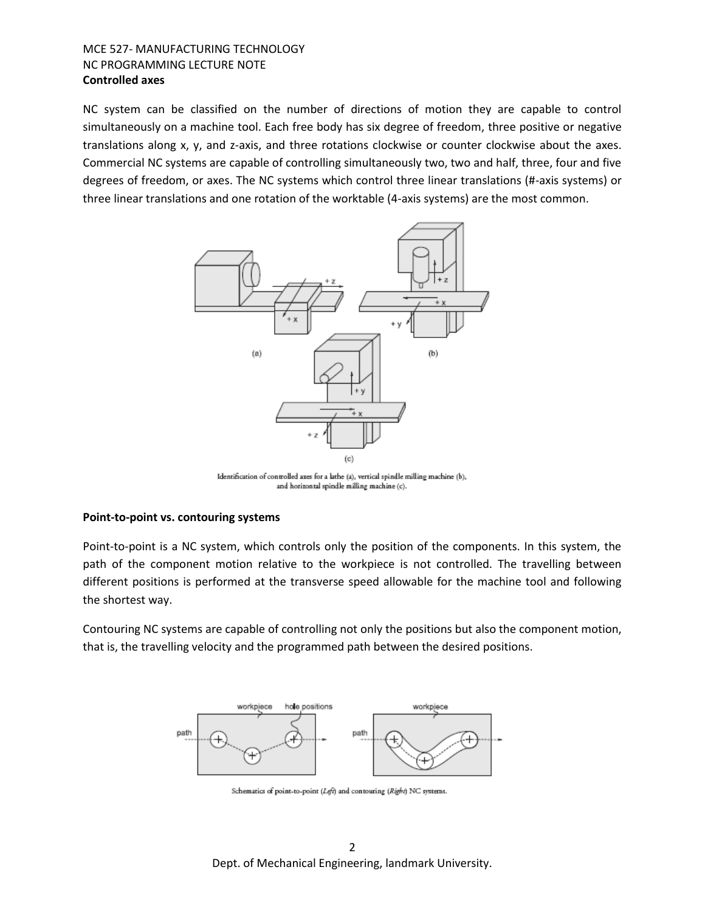# MCE 527- MANUFACTURING TECHNOLOGY NC PROGRAMMING LECTURE NOTE **Controlled axes**

NC system can be classified on the number of directions of motion they are capable to control simultaneously on a machine tool. Each free body has six degree of freedom, three positive or negative translations along x, y, and z-axis, and three rotations clockwise or counter clockwise about the axes. Commercial NC systems are capable of controlling simultaneously two, two and half, three, four and five degrees of freedom, or axes. The NC systems which control three linear translations (#-axis systems) or three linear translations and one rotation of the worktable (4-axis systems) are the most common.



Identification of controlled axes for a lathe (a), vertical spindle milling machine (b), and horizontal spindle milling machine (c).

#### **Point-to-point vs. contouring systems**

Point-to-point is a NC system, which controls only the position of the components. In this system, the path of the component motion relative to the workpiece is not controlled. The travelling between different positions is performed at the transverse speed allowable for the machine tool and following the shortest way.

Contouring NC systems are capable of controlling not only the positions but also the component motion, that is, the travelling velocity and the programmed path between the desired positions.



Schematics of point-to-point (Left) and contouring (Right) NC systems.